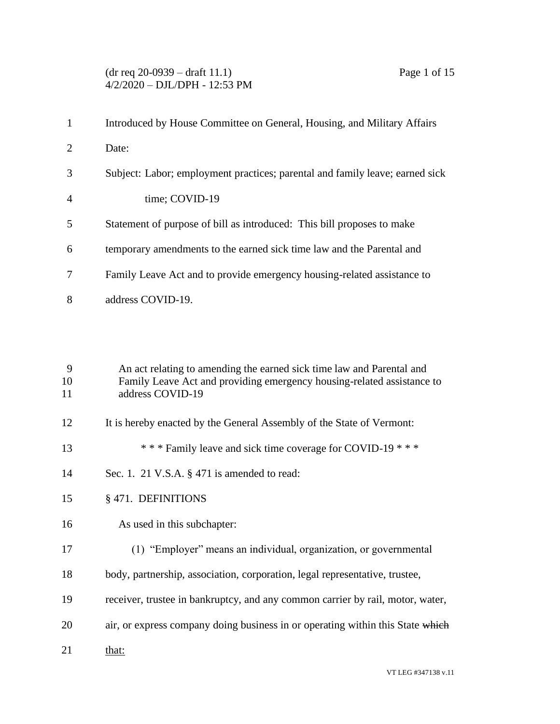#### (dr req 20-0939 – draft 11.1) Page 1 of 15 4/2/2020 – DJL/DPH - 12:53 PM

|                | Introduced by House Committee on General, Housing, and Military Affairs      |
|----------------|------------------------------------------------------------------------------|
| 2              | Date:                                                                        |
| 3              | Subject: Labor; employment practices; parental and family leave; earned sick |
| $\overline{4}$ | time; COVID-19                                                               |
| 5              | Statement of purpose of bill as introduced: This bill proposes to make       |
| 6              | temporary amendments to the earned sick time law and the Parental and        |
| 7              | Family Leave Act and to provide emergency housing-related assistance to      |
| 8              | address COVID-19.                                                            |

 An act relating to amending the earned sick time law and Parental and Family Leave Act and providing emergency housing-related assistance to address COVID-19

- 12 It is hereby enacted by the General Assembly of the State of Vermont:
- \* \* \* Family leave and sick time coverage for COVID-19 \* \* \*
- Sec. 1. 21 V.S.A. § 471 is amended to read:
- § 471. DEFINITIONS
- As used in this subchapter:
- (1) "Employer" means an individual, organization, or governmental
- body, partnership, association, corporation, legal representative, trustee,
- receiver, trustee in bankruptcy, and any common carrier by rail, motor, water,
- 20 air, or express company doing business in or operating within this State which
- 21 that: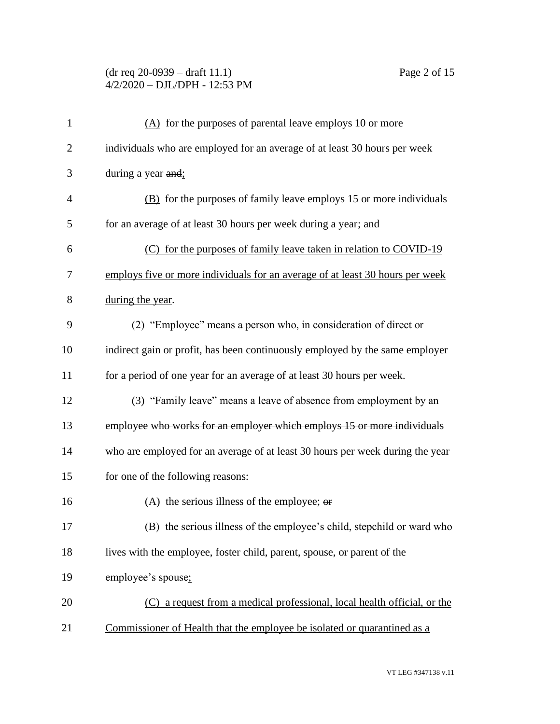## (dr req 20-0939 – draft 11.1) Page 2 of 15 4/2/2020 – DJL/DPH - 12:53 PM

| $\mathbf{1}$   | (A) for the purposes of parental leave employs 10 or more                     |
|----------------|-------------------------------------------------------------------------------|
| $\overline{2}$ | individuals who are employed for an average of at least 30 hours per week     |
| 3              | during a year and:                                                            |
| 4              | (B) for the purposes of family leave employs 15 or more individuals           |
| 5              | for an average of at least 30 hours per week during a year; and               |
| 6              | (C) for the purposes of family leave taken in relation to COVID-19            |
| 7              | employs five or more individuals for an average of at least 30 hours per week |
| 8              | during the year.                                                              |
| 9              | (2) "Employee" means a person who, in consideration of direct or              |
| 10             | indirect gain or profit, has been continuously employed by the same employer  |
| 11             | for a period of one year for an average of at least 30 hours per week.        |
| 12             | (3) "Family leave" means a leave of absence from employment by an             |
| 13             | employee who works for an employer which employs 15 or more individuals       |
| 14             | who are employed for an average of at least 30 hours per week during the year |
| 15             | for one of the following reasons:                                             |
| 16             | (A) the serious illness of the employee; $\theta$                             |
| 17             | (B) the serious illness of the employee's child, stepchild or ward who        |
| 18             | lives with the employee, foster child, parent, spouse, or parent of the       |
| 19             | employee's spouse;                                                            |
| 20             | a request from a medical professional, local health official, or the<br>(C)   |
| 21             | Commissioner of Health that the employee be isolated or quarantined as a      |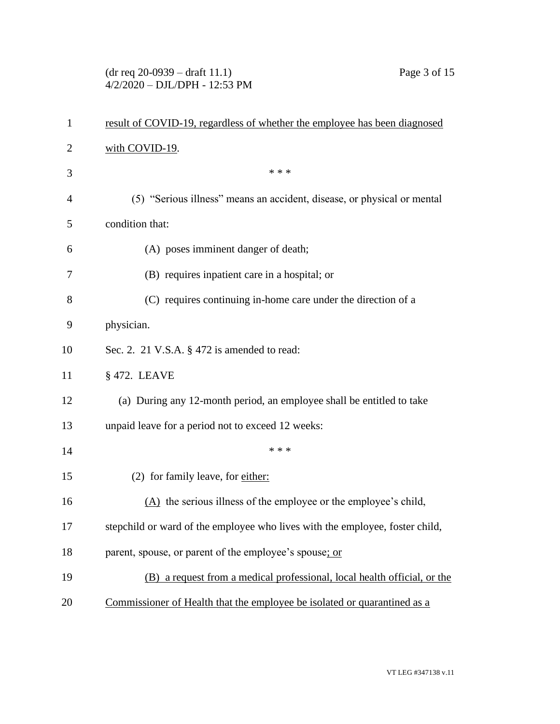## (dr req 20-0939 – draft 11.1) Page 3 of 15 4/2/2020 – DJL/DPH - 12:53 PM

| $\mathbf{1}$   | result of COVID-19, regardless of whether the employee has been diagnosed    |
|----------------|------------------------------------------------------------------------------|
| 2              | with COVID-19.                                                               |
| 3              | * * *                                                                        |
| $\overline{4}$ | (5) "Serious illness" means an accident, disease, or physical or mental      |
| 5              | condition that:                                                              |
| 6              | (A) poses imminent danger of death;                                          |
| 7              | (B) requires inpatient care in a hospital; or                                |
| 8              | (C) requires continuing in-home care under the direction of a                |
| 9              | physician.                                                                   |
| 10             | Sec. 2. 21 V.S.A. § 472 is amended to read:                                  |
| 11             | § 472. LEAVE                                                                 |
| 12             | (a) During any 12-month period, an employee shall be entitled to take        |
| 13             | unpaid leave for a period not to exceed 12 weeks:                            |
| 14             | * * *                                                                        |
| 15             | (2) for family leave, for either:                                            |
| 16             | $(A)$ the serious illness of the employee or the employee's child,           |
| 17             | stepchild or ward of the employee who lives with the employee, foster child, |
| 18             | parent, spouse, or parent of the employee's spouse; or                       |
| 19             | (B) a request from a medical professional, local health official, or the     |
| 20             | Commissioner of Health that the employee be isolated or quarantined as a     |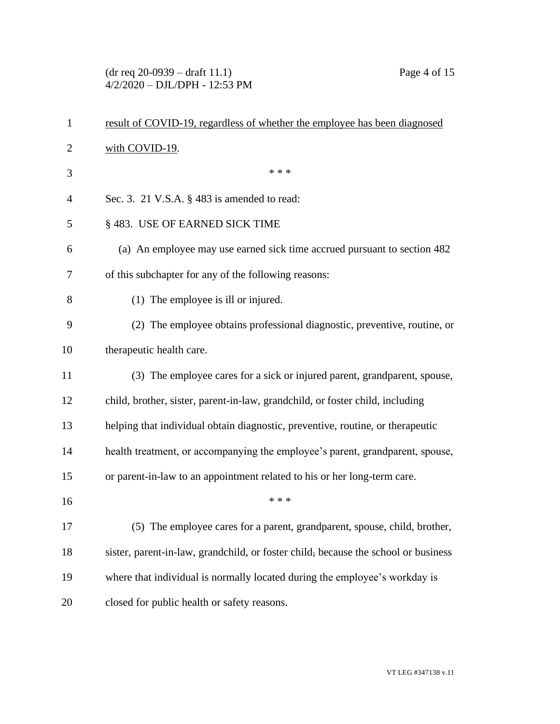(dr req 20-0939 – draft 11.1) Page 4 of 15 4/2/2020 – DJL/DPH - 12:53 PM

| $\mathbf{1}$   | result of COVID-19, regardless of whether the employee has been diagnosed          |
|----------------|------------------------------------------------------------------------------------|
| $\overline{2}$ | with COVID-19.                                                                     |
| 3              | * * *                                                                              |
| 4              | Sec. 3. 21 V.S.A. § 483 is amended to read:                                        |
| 5              | § 483. USE OF EARNED SICK TIME                                                     |
| 6              | (a) An employee may use earned sick time accrued pursuant to section 482           |
| 7              | of this subchapter for any of the following reasons:                               |
| 8              | (1) The employee is ill or injured.                                                |
| 9              | (2) The employee obtains professional diagnostic, preventive, routine, or          |
| 10             | therapeutic health care.                                                           |
| 11             | (3) The employee cares for a sick or injured parent, grandparent, spouse,          |
| 12             | child, brother, sister, parent-in-law, grandchild, or foster child, including      |
| 13             | helping that individual obtain diagnostic, preventive, routine, or therapeutic     |
| 14             | health treatment, or accompanying the employee's parent, grandparent, spouse,      |
| 15             | or parent-in-law to an appointment related to his or her long-term care.           |
| 16             | * * *                                                                              |
| 17             | (5) The employee cares for a parent, grandparent, spouse, child, brother,          |
| 18             | sister, parent-in-law, grandchild, or foster child, because the school or business |
| 19             | where that individual is normally located during the employee's workday is         |
| 20             | closed for public health or safety reasons.                                        |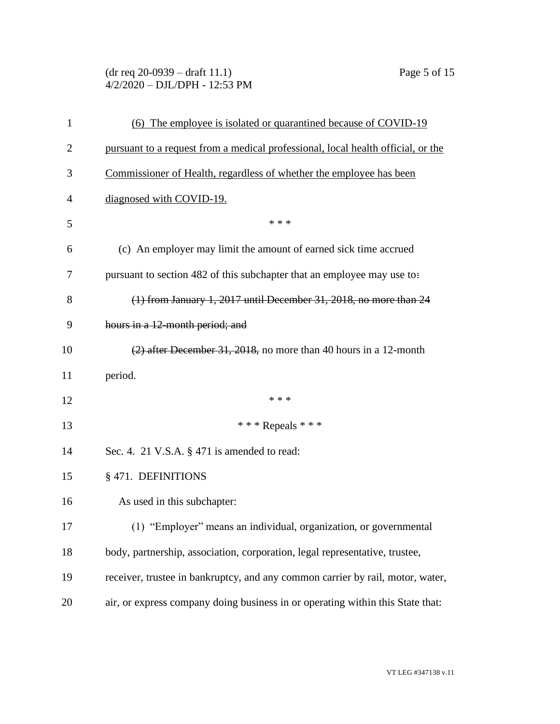## (dr req 20-0939 – draft 11.1) Page 5 of 15 4/2/2020 – DJL/DPH - 12:53 PM

| $\mathbf{1}$ | (6) The employee is isolated or quarantined because of COVID-19                  |
|--------------|----------------------------------------------------------------------------------|
| 2            | pursuant to a request from a medical professional, local health official, or the |
| 3            | Commissioner of Health, regardless of whether the employee has been              |
| 4            | diagnosed with COVID-19.                                                         |
| 5            | * * *                                                                            |
| 6            | (c) An employer may limit the amount of earned sick time accrued                 |
| 7            | pursuant to section 482 of this subchapter that an employee may use to:          |
| 8            | (1) from January 1, 2017 until December 31, 2018, no more than 24                |
| 9            | hours in a 12-month period; and                                                  |
| 10           | (2) after December 31, 2018, no more than 40 hours in a 12-month                 |
| 11           | period.                                                                          |
| 12           | * * *                                                                            |
| 13           | *** Repeals ***                                                                  |
| 14           | Sec. 4. 21 V.S.A. $\S$ 471 is amended to read:                                   |
| 15           | § 471. DEFINITIONS                                                               |
| 16           | As used in this subchapter:                                                      |
| 17           | (1) "Employer" means an individual, organization, or governmental                |
| 18           | body, partnership, association, corporation, legal representative, trustee,      |
| 19           | receiver, trustee in bankruptcy, and any common carrier by rail, motor, water,   |
| 20           | air, or express company doing business in or operating within this State that:   |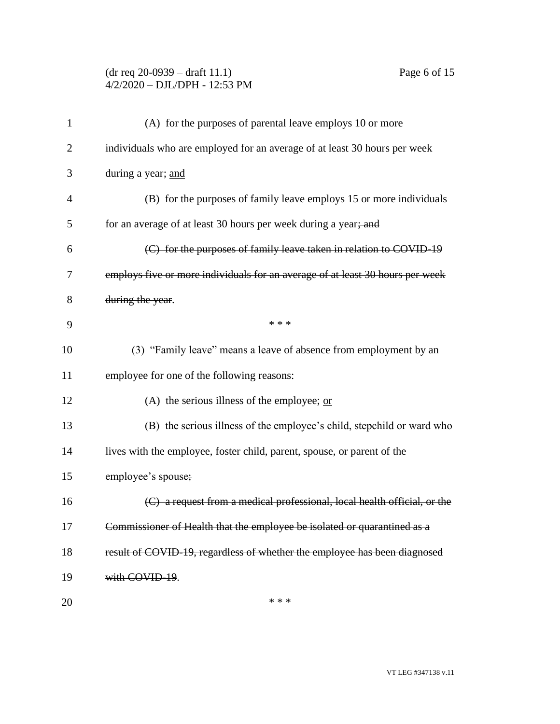## (dr req 20-0939 – draft 11.1) Page 6 of 15 4/2/2020 – DJL/DPH - 12:53 PM

| (A) for the purposes of parental leave employs 10 or more                 |
|---------------------------------------------------------------------------|
| individuals who are employed for an average of at least 30 hours per week |

| $\overline{2}$ | individuals who are employed for an average of at least 30 hours per week     |
|----------------|-------------------------------------------------------------------------------|
| 3              | during a year; and                                                            |
| 4              | (B) for the purposes of family leave employs 15 or more individuals           |
| 5              | for an average of at least 30 hours per week during a year; and               |
| 6              | (C) for the purposes of family leave taken in relation to COVID 19            |
| 7              | employs five or more individuals for an average of at least 30 hours per week |
| 8              | during the year.                                                              |
| 9              | * * *                                                                         |
| 10             | (3) "Family leave" means a leave of absence from employment by an             |
| 11             | employee for one of the following reasons:                                    |
| 12             | (A) the serious illness of the employee; $or$                                 |
| 13             | (B) the serious illness of the employee's child, stepchild or ward who        |
| 14             | lives with the employee, foster child, parent, spouse, or parent of the       |
| 15             | employee's spouse;                                                            |
| 16             | (C) a request from a medical professional, local health official, or the      |
| 17             | Commissioner of Health that the employee be isolated or quarantined as a      |
| 18             | result of COVID-19, regardless of whether the employee has been diagnosed     |
| 19             | with COVID-19.                                                                |
| 20             | * * *                                                                         |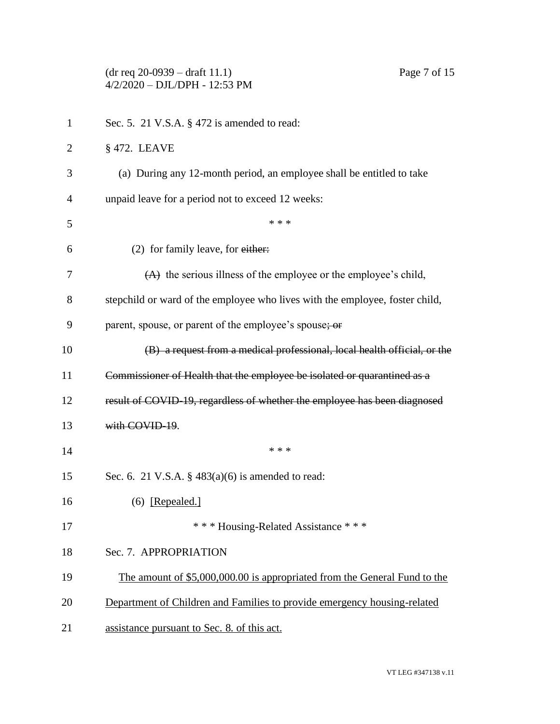|              | $(dr \text{ req } 20-0939 - draft 11.1)$<br>Page 7 of 15<br>4/2/2020 - DJL/DPH - 12:53 PM |
|--------------|-------------------------------------------------------------------------------------------|
| $\mathbf{1}$ | Sec. 5. 21 V.S.A. § 472 is amended to read:                                               |
| 2            | $§$ 472. LEAVE                                                                            |
| 3            | (a) During any 12-month period, an employee shall be entitled to take                     |
| 4            | unpaid leave for a period not to exceed 12 weeks:                                         |
| 5            | * * *                                                                                     |
| 6            | (2) for family leave, for either:                                                         |
| 7            | $(A)$ the serious illness of the employee or the employee's child,                        |
| 8            | stepchild or ward of the employee who lives with the employee, foster child,              |
| 9            | parent, spouse, or parent of the employee's spouse; or                                    |
| 10           | (B) a request from a medical professional, local health official, or the                  |
| 11           | Commissioner of Health that the employee be isolated or quarantined as a                  |
| 12           | result of COVID-19, regardless of whether the employee has been diagnosed                 |
| 13           | with COVID-19.                                                                            |
| 14           | * * *                                                                                     |
| 15           | Sec. 6. 21 V.S.A. $\S$ 483(a)(6) is amended to read:                                      |
| 16           | $(6)$ [Repealed.]                                                                         |
| 17           | *** Housing-Related Assistance ***                                                        |
| 18           | Sec. 7. APPROPRIATION                                                                     |
| 19           | The amount of \$5,000,000.00 is appropriated from the General Fund to the                 |
| 20           | Department of Children and Families to provide emergency housing-related                  |
| 21           | assistance pursuant to Sec. 8. of this act.                                               |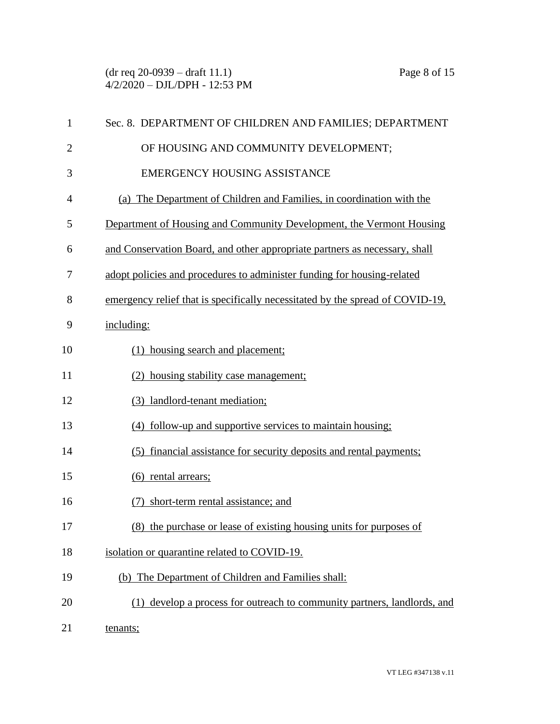| $\mathbf{1}$   | Sec. 8. DEPARTMENT OF CHILDREN AND FAMILIES; DEPARTMENT                       |
|----------------|-------------------------------------------------------------------------------|
| $\overline{2}$ | OF HOUSING AND COMMUNITY DEVELOPMENT;                                         |
| 3              | <b>EMERGENCY HOUSING ASSISTANCE</b>                                           |
| 4              | (a) The Department of Children and Families, in coordination with the         |
| 5              | Department of Housing and Community Development, the Vermont Housing          |
| 6              | and Conservation Board, and other appropriate partners as necessary, shall    |
| 7              | adopt policies and procedures to administer funding for housing-related       |
| 8              | emergency relief that is specifically necessitated by the spread of COVID-19, |
| 9              | including:                                                                    |
| 10             | (1) housing search and placement;                                             |
| 11             | (2) housing stability case management;                                        |
| 12             | (3) landlord-tenant mediation;                                                |
| 13             | (4) follow-up and supportive services to maintain housing;                    |
| 14             | financial assistance for security deposits and rental payments;<br>(5)        |
| 15             | (6) rental arrears;                                                           |
| 16             | (7) short-term rental assistance; and                                         |
| 17             | (8) the purchase or lease of existing housing units for purposes of           |
| 18             | isolation or quarantine related to COVID-19.                                  |
| 19             | (b) The Department of Children and Families shall:                            |
| 20             | (1) develop a process for outreach to community partners, landlords, and      |
| 21             | tenants;                                                                      |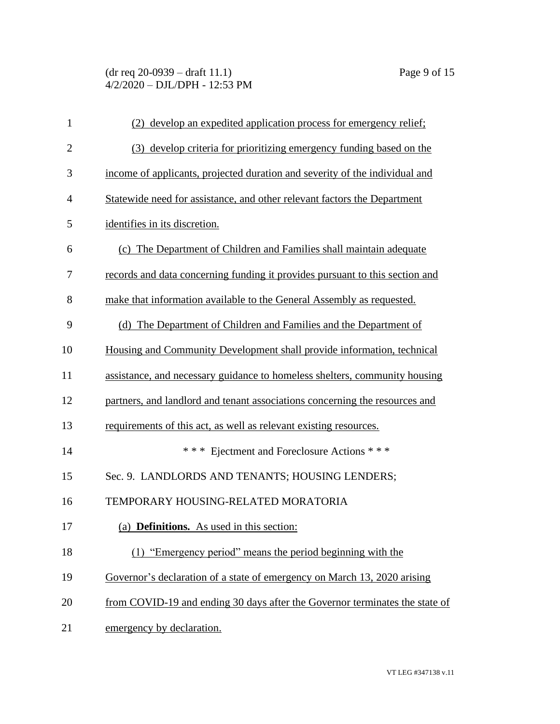# (dr req 20-0939 – draft 11.1) Page 9 of 15 4/2/2020 – DJL/DPH - 12:53 PM

| $\mathbf 1$    | (2) develop an expedited application process for emergency relief;           |
|----------------|------------------------------------------------------------------------------|
| $\mathbf{2}$   | (3) develop criteria for prioritizing emergency funding based on the         |
| 3              | income of applicants, projected duration and severity of the individual and  |
| $\overline{4}$ | Statewide need for assistance, and other relevant factors the Department     |
| 5              | identifies in its discretion.                                                |
| 6              | (c) The Department of Children and Families shall maintain adequate          |
| 7              | records and data concerning funding it provides pursuant to this section and |
| 8              | make that information available to the General Assembly as requested.        |
| 9              | (d) The Department of Children and Families and the Department of            |
| 10             | Housing and Community Development shall provide information, technical       |
| 11             | assistance, and necessary guidance to homeless shelters, community housing   |
| 12             | partners, and landlord and tenant associations concerning the resources and  |
| 13             | requirements of this act, as well as relevant existing resources.            |
| 14             | *** Ejectment and Foreclosure Actions ***                                    |
| 15             | Sec. 9. LANDLORDS AND TENANTS; HOUSING LENDERS;                              |
| 16             | TEMPORARY HOUSING-RELATED MORATORIA                                          |
| 17             | (a) Definitions. As used in this section:                                    |
| 18             | (1) "Emergency period" means the period beginning with the                   |
| 19             | Governor's declaration of a state of emergency on March 13, 2020 arising     |
| 20             | from COVID-19 and ending 30 days after the Governor terminates the state of  |
| 21             | emergency by declaration.                                                    |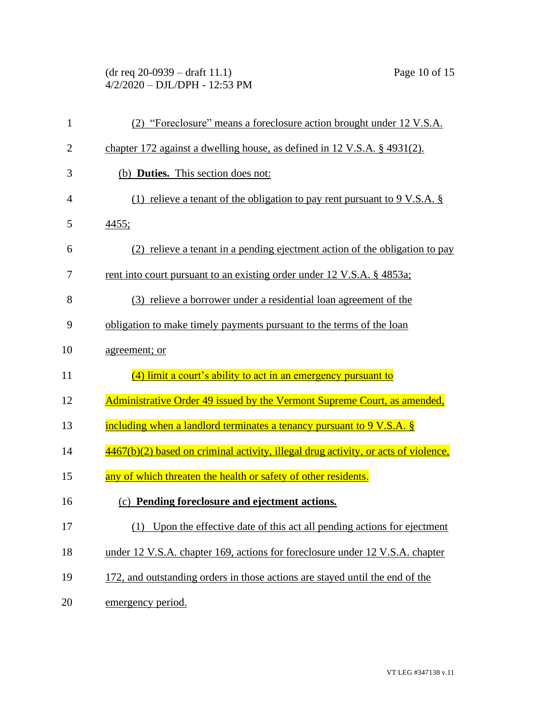# (dr req 20-0939 – draft 11.1) Page 10 of 15 4/2/2020 – DJL/DPH - 12:53 PM

| $\mathbf{1}$   | (2) "Foreclosure" means a foreclosure action brought under 12 V.S.A.               |
|----------------|------------------------------------------------------------------------------------|
| $\overline{2}$ | chapter 172 against a dwelling house, as defined in 12 V.S.A. § 4931(2).           |
| 3              | (b) Duties. This section does not:                                                 |
| 4              | (1) relieve a tenant of the obligation to pay rent pursuant to 9 V.S.A. $\S$       |
| 5              | <u>4455;</u>                                                                       |
| 6              | (2) relieve a tenant in a pending ejectment action of the obligation to pay        |
| 7              | rent into court pursuant to an existing order under 12 V.S.A. § 4853a;             |
| 8              | (3) relieve a borrower under a residential loan agreement of the                   |
| 9              | obligation to make timely payments pursuant to the terms of the loan               |
| 10             | agreement; or                                                                      |
| 11             | (4) limit a court's ability to act in an emergency pursuant to                     |
| 12             | Administrative Order 49 issued by the Vermont Supreme Court, as amended,           |
| 13             | including when a landlord terminates a tenancy pursuant to 9 V.S.A. §              |
| 14             | 4467(b)(2) based on criminal activity, illegal drug activity, or acts of violence, |
| 15             | any of which threaten the health or safety of other residents.                     |
| 16             | (c) Pending foreclosure and ejectment actions.                                     |
| 17             | Upon the effective date of this act all pending actions for ejectment              |
| 18             | under 12 V.S.A. chapter 169, actions for foreclosure under 12 V.S.A. chapter       |
| 19             | 172, and outstanding orders in those actions are stayed until the end of the       |
| 20             | emergency period.                                                                  |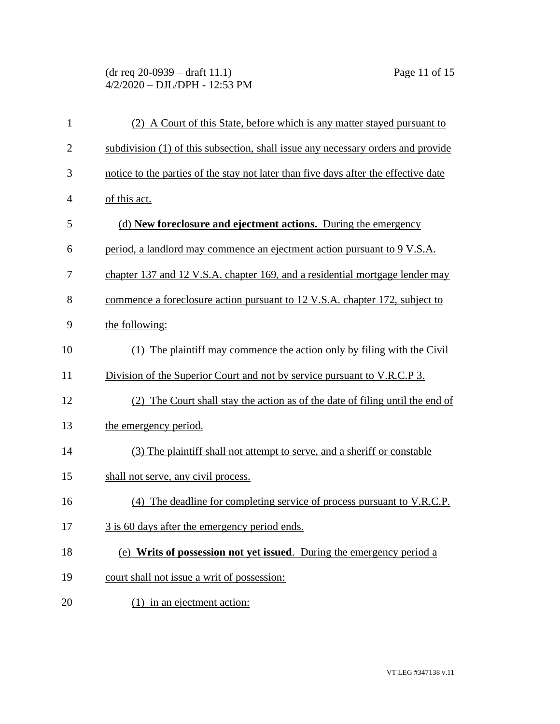## (dr req 20-0939 – draft 11.1) Page 11 of 15 4/2/2020 – DJL/DPH - 12:53 PM

| $\mathbf{1}$   | (2) A Court of this State, before which is any matter stayed pursuant to            |
|----------------|-------------------------------------------------------------------------------------|
| $\overline{2}$ | subdivision (1) of this subsection, shall issue any necessary orders and provide    |
| 3              | notice to the parties of the stay not later than five days after the effective date |
| 4              | of this act.                                                                        |
| 5              | (d) New foreclosure and ejectment actions. During the emergency                     |
| 6              | period, a landlord may commence an ejectment action pursuant to 9 V.S.A.            |
| 7              | chapter 137 and 12 V.S.A. chapter 169, and a residential mortgage lender may        |
| 8              | commence a foreclosure action pursuant to 12 V.S.A. chapter 172, subject to         |
| 9              | the following:                                                                      |
| 10             | (1) The plaintiff may commence the action only by filing with the Civil             |
| 11             | Division of the Superior Court and not by service pursuant to V.R.C.P 3.            |
| 12             | (2) The Court shall stay the action as of the date of filing until the end of       |
| 13             | the emergency period.                                                               |
| 14             | (3) The plaintiff shall not attempt to serve, and a sheriff or constable            |
| 15             | shall not serve, any civil process.                                                 |
| 16             | (4) The deadline for completing service of process pursuant to V.R.C.P.             |
| 17             | 3 is 60 days after the emergency period ends.                                       |
| 18             | (e) Writs of possession not yet issued. During the emergency period a               |
| 19             | court shall not issue a writ of possession:                                         |
| 20             | $(1)$ in an ejectment action:                                                       |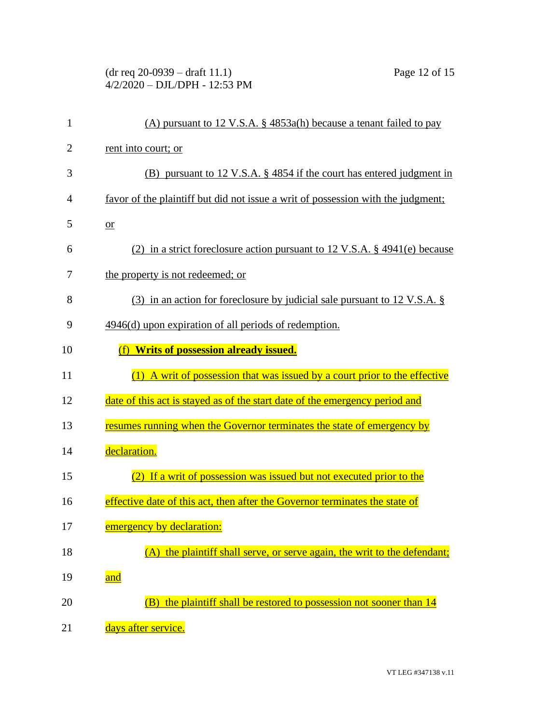## (dr req 20-0939 – draft 11.1) Page 12 of 15 4/2/2020 – DJL/DPH - 12:53 PM

| $\mathbf{1}$   | (A) pursuant to 12 V.S.A. $\S$ 4853a(h) because a tenant failed to pay           |
|----------------|----------------------------------------------------------------------------------|
| $\overline{2}$ | rent into court; or                                                              |
| 3              | (B) pursuant to 12 V.S.A. § 4854 if the court has entered judgment in            |
| 4              | favor of the plaintiff but did not issue a writ of possession with the judgment; |
| 5              | $or$                                                                             |
| 6              | (2) in a strict foreclosure action pursuant to 12 V.S.A. $\S$ 4941(e) because    |
| 7              | the property is not redeemed; or                                                 |
| 8              | $(3)$ in an action for foreclosure by judicial sale pursuant to 12 V.S.A. §      |
| 9              | 4946(d) upon expiration of all periods of redemption.                            |
| 10             | <b>Writs of possession already issued.</b><br>(f)                                |
| 11             | (1) A writ of possession that was issued by a court prior to the effective       |
| 12             | date of this act is stayed as of the start date of the emergency period and      |
| 13             | resumes running when the Governor terminates the state of emergency by           |
| 14             | declaration.                                                                     |
| 15             | (2) If a writ of possession was issued but not executed prior to the             |
| 16             | effective date of this act, then after the Governor terminates the state of      |
| 17             | emergency by declaration:                                                        |
| 18             | (A) the plaintiff shall serve, or serve again, the writ to the defendant;        |
| 19             | and                                                                              |
| 20             | (B) the plaintiff shall be restored to possession not sooner than 14             |
| 21             | days after service.                                                              |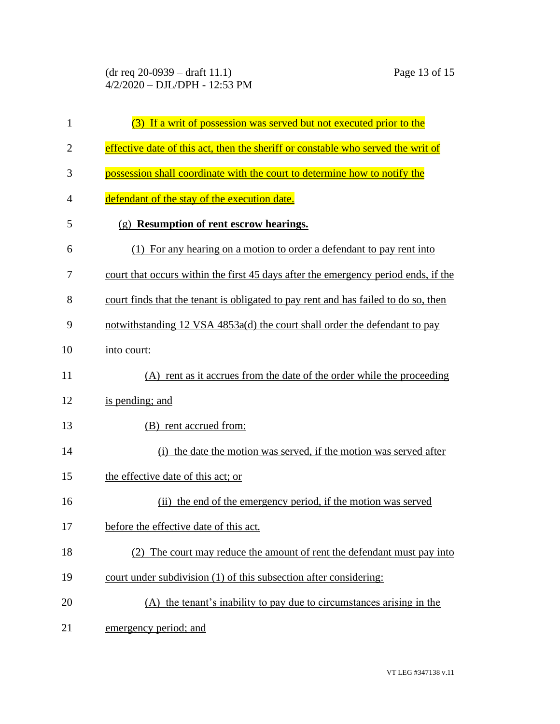| 1              | (3) If a writ of possession was served but not executed prior to the               |
|----------------|------------------------------------------------------------------------------------|
| $\overline{2}$ | effective date of this act, then the sheriff or constable who served the writ of   |
| 3              | possession shall coordinate with the court to determine how to notify the          |
| $\overline{4}$ | defendant of the stay of the execution date.                                       |
| 5              | (g) Resumption of rent escrow hearings.                                            |
| 6              | (1) For any hearing on a motion to order a defendant to pay rent into              |
| 7              | court that occurs within the first 45 days after the emergency period ends, if the |
| 8              | court finds that the tenant is obligated to pay rent and has failed to do so, then |
| 9              | notwithstanding 12 VSA 4853a(d) the court shall order the defendant to pay         |
| 10             | into court:                                                                        |
| 11             | (A) rent as it accrues from the date of the order while the proceeding             |
| 12             | is pending; and                                                                    |
| 13             | (B) rent accrued from:                                                             |
| 14             | (i) the date the motion was served, if the motion was served after                 |
| 15             | the effective date of this act; or                                                 |
| 16             | (ii) the end of the emergency period, if the motion was served                     |
| 17             | before the effective date of this act.                                             |
| 18             | (2) The court may reduce the amount of rent the defendant must pay into            |
| 19             | court under subdivision (1) of this subsection after considering:                  |
| 20             | (A) the tenant's inability to pay due to circumstances arising in the              |
| 21             | emergency period; and                                                              |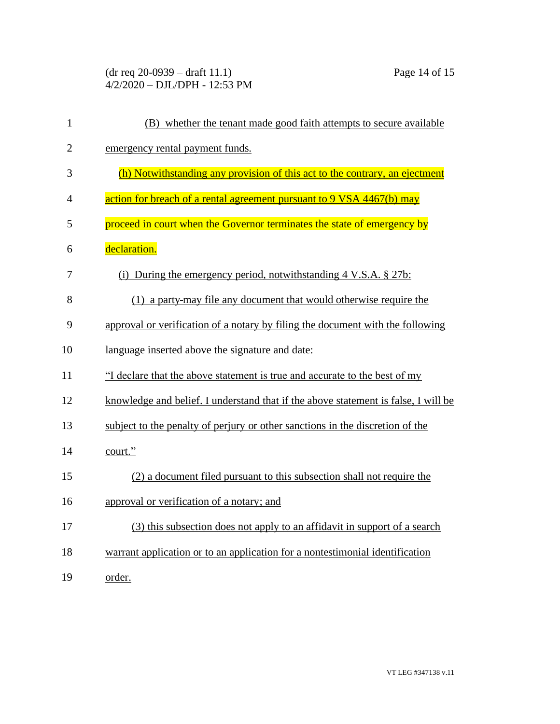(dr req 20-0939 – draft 11.1) Page 14 of 15 4/2/2020 – DJL/DPH - 12:53 PM

| $\mathbf{1}$   | (B) whether the tenant made good faith attempts to secure available                |
|----------------|------------------------------------------------------------------------------------|
| $\overline{2}$ | emergency rental payment funds.                                                    |
| 3              | (h) Notwithstanding any provision of this act to the contrary, an ejectment        |
| 4              | action for breach of a rental agreement pursuant to 9 VSA 4467(b) may              |
| 5              | proceed in court when the Governor terminates the state of emergency by            |
| 6              | declaration.                                                                       |
| 7              | (i) During the emergency period, notwithstanding $4 \text{ V.S.A.}$ \$ 27b:        |
| 8              | (1) a party-may file any document that would otherwise require the                 |
| 9              | approval or verification of a notary by filing the document with the following     |
| 10             | language inserted above the signature and date:                                    |
| 11             | "I declare that the above statement is true and accurate to the best of my         |
| 12             | knowledge and belief. I understand that if the above statement is false, I will be |
| 13             | subject to the penalty of perjury or other sanctions in the discretion of the      |
| 14             | court."                                                                            |
| 15             | (2) a document filed pursuant to this subsection shall not require the             |
| 16             | approval or verification of a notary; and                                          |
| 17             | (3) this subsection does not apply to an affidavit in support of a search          |
| 18             | warrant application or to an application for a nontestimonial identification       |
| 19             | order.                                                                             |